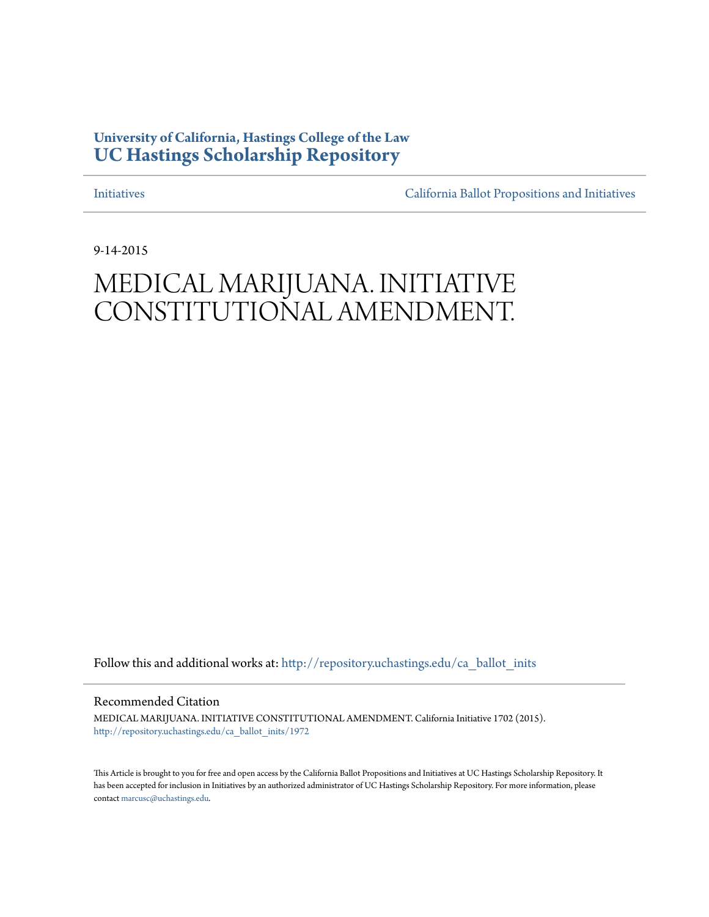## **University of California, Hastings College of the Law [UC Hastings Scholarship Repository](http://repository.uchastings.edu?utm_source=repository.uchastings.edu%2Fca_ballot_inits%2F1972&utm_medium=PDF&utm_campaign=PDFCoverPages)**

[Initiatives](http://repository.uchastings.edu/ca_ballot_inits?utm_source=repository.uchastings.edu%2Fca_ballot_inits%2F1972&utm_medium=PDF&utm_campaign=PDFCoverPages) [California Ballot Propositions and Initiatives](http://repository.uchastings.edu/ca_ballots?utm_source=repository.uchastings.edu%2Fca_ballot_inits%2F1972&utm_medium=PDF&utm_campaign=PDFCoverPages)

9-14-2015

# MEDICAL MARIJUANA. INITIATIVE CONSTITUTIONAL AMENDMENT.

Follow this and additional works at: [http://repository.uchastings.edu/ca\\_ballot\\_inits](http://repository.uchastings.edu/ca_ballot_inits?utm_source=repository.uchastings.edu%2Fca_ballot_inits%2F1972&utm_medium=PDF&utm_campaign=PDFCoverPages)

Recommended Citation

MEDICAL MARIJUANA. INITIATIVE CONSTITUTIONAL AMENDMENT. California Initiative 1702 (2015). [http://repository.uchastings.edu/ca\\_ballot\\_inits/1972](http://repository.uchastings.edu/ca_ballot_inits/1972?utm_source=repository.uchastings.edu%2Fca_ballot_inits%2F1972&utm_medium=PDF&utm_campaign=PDFCoverPages)

This Article is brought to you for free and open access by the California Ballot Propositions and Initiatives at UC Hastings Scholarship Repository. It has been accepted for inclusion in Initiatives by an authorized administrator of UC Hastings Scholarship Repository. For more information, please contact [marcusc@uchastings.edu](mailto:marcusc@uchastings.edu).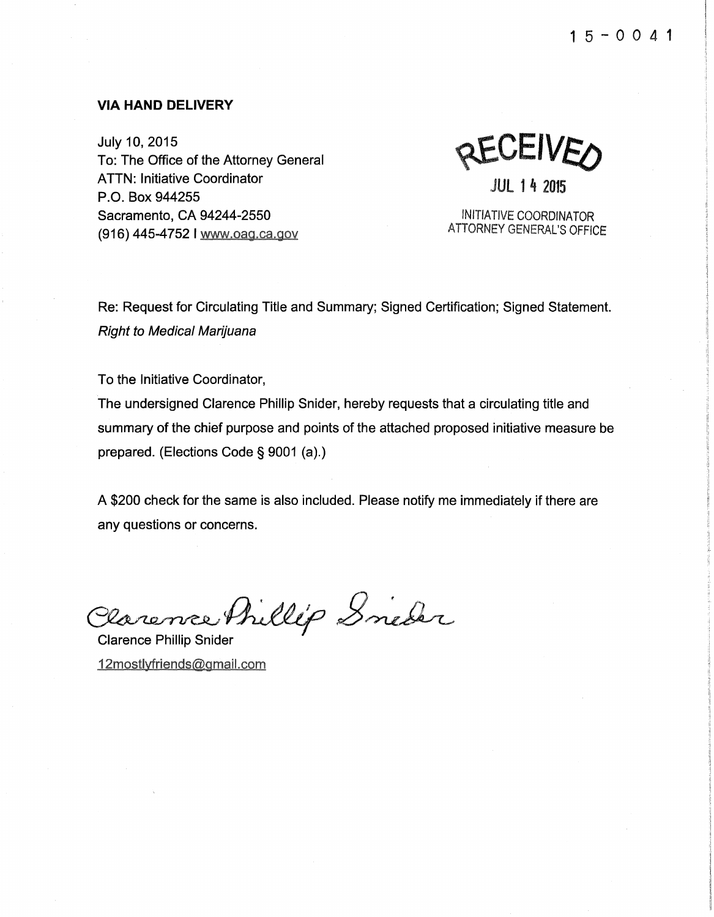#### **VIA HAND DELIVERY**

July 10, 2015 To: The Office of the Attorney General ATTN: Initiative Coordinator P.O. Box 944255 Sacramento, CA 94244-2550 (916) 445-4752 I www.oag.ca.gov

**RECEIVEO** JUL 1 4 2015

INITIATIVE COORDINATOR ATTORNEY GENERAL'S OFFICE

Re: Request for Circulating Title and Summary; Signed Certification; Signed Statement. Right to Medical Marijuana

To the Initiative Coordinator,

The undersigned Clarence Phillip Snider, hereby requests that a circulating title and summary of the chief purpose and points of the attached proposed initiative measure be prepared. (Elections Code§ 9001 (a).)

A \$200 check for the same is also included. Please notify me immediately if there are any questions or concerns.

Plarence Phillip Snieder

12mostlyfriends@gmail.com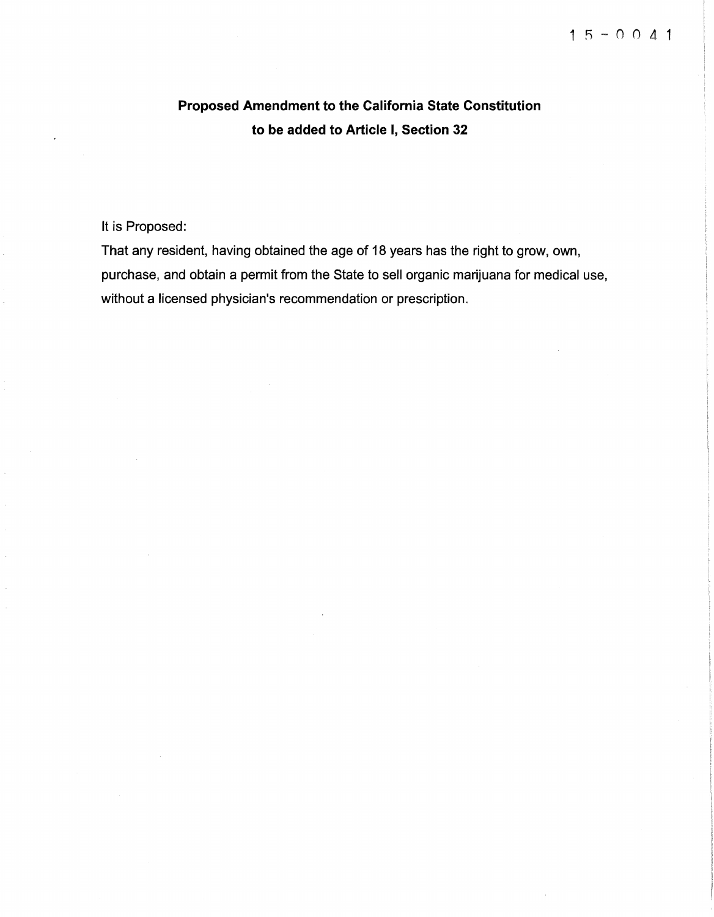# Proposed Amendment to the California State Constitution to be added to Article I, Section 32

## It is Proposed:

That any resident, having obtained the age of 18 years has the right to grow, own, purchase, and obtain a permit from the State to sell organic marijuana for medical use, without a licensed physician's recommendation or prescription.